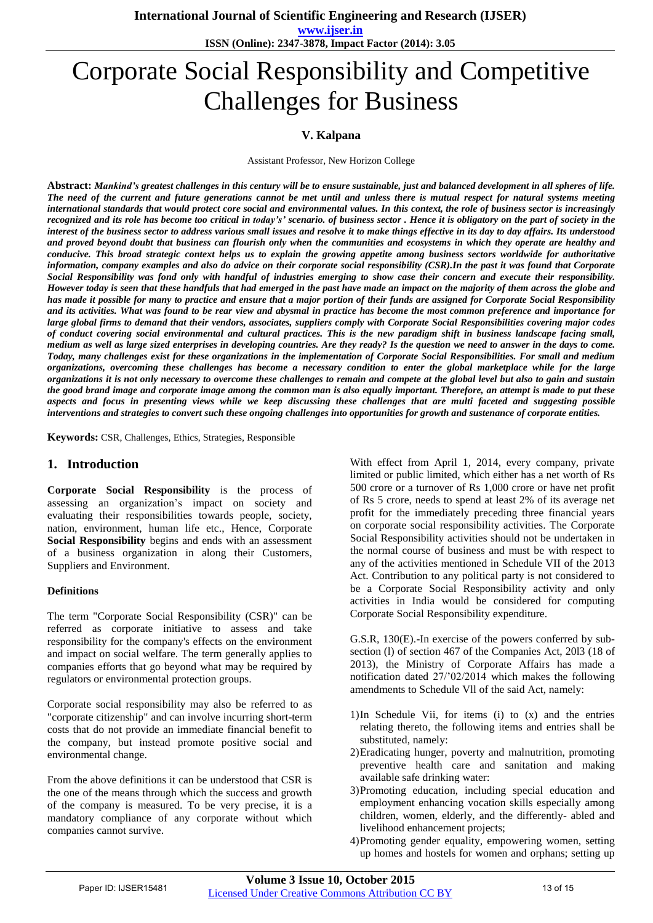**International Journal of Scientific Engineering and Research (IJSER)** 

**www.ijser.in ISSN (Online): 2347-3878, Impact Factor (2014): 3.05**

# Corporate Social Responsibility and Competitive Challenges for Business

### **V. Kalpana**

Assistant Professor, New Horizon College

**Abstract:** *Mankind's greatest challenges in this century will be to ensure sustainable, just and balanced development in all spheres of life. The need of the current and future generations cannot be met until and unless there is mutual respect for natural systems meeting international standards that would protect core social and environmental values. In this context, the role of business sector is increasingly recognized and its role has become too critical in today's' scenario. of business sector . Hence it is obligatory on the part of society in the interest of the business sector to address various small issues and resolve it to make things effective in its day to day affairs. Its understood and proved beyond doubt that business can flourish only when the communities and ecosystems in which they operate are healthy and conducive. This broad strategic context helps us to explain the growing appetite among business sectors worldwide for authoritative information, company examples and also do advice on their corporate social responsibility (CSR).In the past it was found that Corporate Social Responsibility was fond only with handful of industries emerging to show case their concern and execute their responsibility. However today is seen that these handfuls that had emerged in the past have made an impact on the majority of them across the globe and has made it possible for many to practice and ensure that a major portion of their funds are assigned for Corporate Social Responsibility and its activities. What was found to be rear view and abysmal in practice has become the most common preference and importance for large global firms to demand that their vendors, associates, suppliers comply with Corporate Social Responsibilities covering major codes of conduct covering social environmental and cultural practices. This is the new paradigm shift in business landscape facing small, medium as well as large sized enterprises in developing countries. Are they ready? Is the question we need to answer in the days to come. Today, many challenges exist for these organizations in the implementation of Corporate Social Responsibilities. For small and medium organizations, overcoming these challenges has become a necessary condition to enter the global marketplace while for the large organizations it is not only necessary to overcome these challenges to remain and compete at the global level but also to gain and sustain the good brand image and corporate image among the common man is also equally important. Therefore, an attempt is made to put these aspects and focus in presenting views while we keep discussing these challenges that are multi faceted and suggesting possible interventions and strategies to convert such these ongoing challenges into opportunities for growth and sustenance of corporate entities.* 

**Keywords:** CSR, Challenges, Ethics, Strategies, Responsible

## **1. Introduction**

**Corporate Social Responsibility** is the process of assessing an organization's impact on society and evaluating their responsibilities towards people, society, nation, environment, human life etc., Hence, Corporate **Social Responsibility** begins and ends with an assessment of a business organization in along their Customers, Suppliers and Environment.

#### **Definitions**

The term "Corporate Social Responsibility (CSR)" can be referred as corporate initiative to assess and take responsibility for the company's effects on the environment and impact on social welfare. The term generally applies to companies efforts that go beyond what may be required by regulators or environmental protection groups.

Corporate social responsibility may also be referred to as "corporate citizenship" and can involve incurring short-term costs that do not provide an immediate financial benefit to the company, but instead promote positive social and environmental change.

From the above definitions it can be understood that CSR is the one of the means through which the success and growth of the company is measured. To be very precise, it is a mandatory compliance of any corporate without which companies cannot survive.

With effect from April 1, 2014, every company, private limited or public limited, which either has a net worth of Rs 500 crore or a turnover of Rs 1,000 crore or have net profit of Rs 5 crore, needs to spend at least 2% of its average net profit for the immediately preceding three financial years on corporate social responsibility activities. The Corporate Social Responsibility activities should not be undertaken in the normal course of business and must be with respect to any of the activities mentioned in Schedule VII of the 2013 Act. Contribution to any political party is not considered to be a Corporate Social Responsibility activity and only activities in India would be considered for computing Corporate Social Responsibility expenditure.

G.S.R, 130(E).-In exercise of the powers conferred by subsection (l) of section 467 of the Companies Act, 20l3 (18 of 2013), the Ministry of Corporate Affairs has made a notification dated 27/'02/2014 which makes the following amendments to Schedule Vll of the said Act, namely:

- 1)In Schedule Vii, for items (i) to (x) and the entries relating thereto, the following items and entries shall be substituted, namely:
- 2)Eradicating hunger, poverty and malnutrition, promoting preventive health care and sanitation and making available safe drinking water:
- 3)Promoting education, including special education and employment enhancing vocation skills especially among children, women, elderly, and the differently- abled and livelihood enhancement projects;
- 4)Promoting gender equality, empowering women, setting up homes and hostels for women and orphans; setting up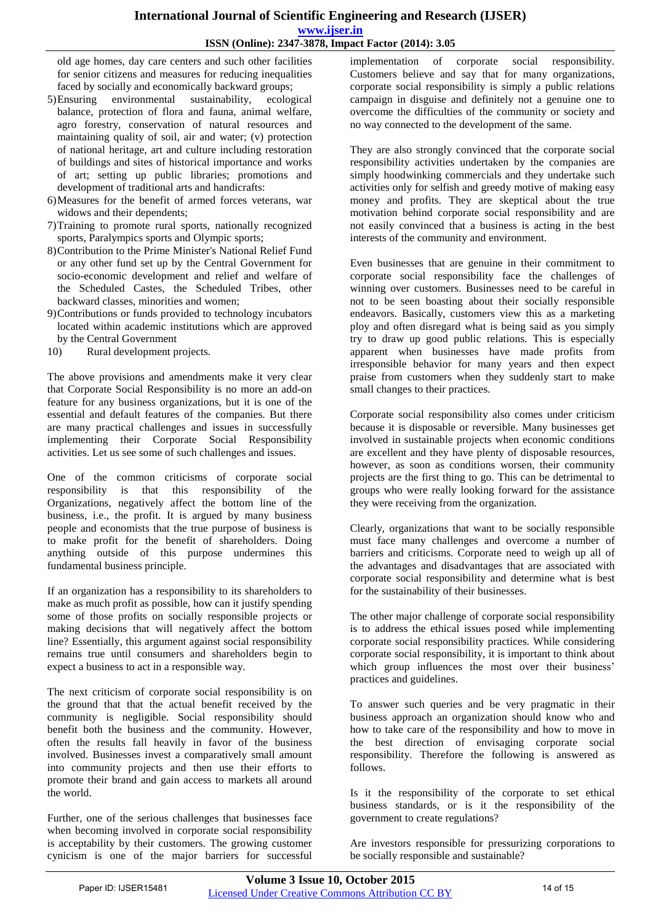old age homes, day care centers and such other facilities for senior citizens and measures for reducing inequalities faced by socially and economically backward groups;

- 5)Ensuring environmental sustainability, ecological balance, protection of flora and fauna, animal welfare, agro forestry, conservation of natural resources and maintaining quality of soil, air and water; (v) protection of national heritage, art and culture including restoration of buildings and sites of historical importance and works of art; setting up public libraries; promotions and development of traditional arts and handicrafts:
- 6)Measures for the benefit of armed forces veterans, war widows and their dependents;
- 7)Training to promote rural sports, nationally recognized sports, Paralympics sports and Olympic sports;
- 8)Contribution to the Prime Minister's National Relief Fund or any other fund set up by the Central Government for socio-economic development and relief and welfare of the Scheduled Castes, the Scheduled Tribes, other backward classes, minorities and women;
- 9)Contributions or funds provided to technology incubators located within academic institutions which are approved by the Central Government
- 10) Rural development projects.

The above provisions and amendments make it very clear that Corporate Social Responsibility is no more an add-on feature for any business organizations, but it is one of the essential and default features of the companies. But there are many practical challenges and issues in successfully implementing their Corporate Social Responsibility activities. Let us see some of such challenges and issues.

One of the common criticisms of corporate social responsibility is that this responsibility of the Organizations, negatively affect the bottom line of the business, i.e., the profit. It is argued by many business people and economists that the true purpose of business is to make profit for the benefit of shareholders. Doing anything outside of this purpose undermines this fundamental business principle.

If an organization has a responsibility to its shareholders to make as much profit as possible, how can it justify spending some of those profits on socially responsible projects or making decisions that will negatively affect the bottom line? Essentially, this argument against social responsibility remains true until consumers and shareholders begin to expect a business to act in a responsible way.

The next criticism of corporate social responsibility is on the ground that that the actual benefit received by the community is negligible. Social responsibility should benefit both the business and the community. However, often the results fall heavily in favor of the business involved. Businesses invest a comparatively small amount into community projects and then use their efforts to promote their brand and gain access to markets all around the world.

Further, one of the serious challenges that businesses face when becoming involved in corporate social responsibility is acceptability by their customers. The growing customer cynicism is one of the major barriers for successful

implementation of corporate social responsibility. Customers believe and say that for many organizations, corporate social responsibility is simply a public relations campaign in disguise and definitely not a genuine one to overcome the difficulties of the community or society and no way connected to the development of the same.

They are also strongly convinced that the corporate social responsibility activities undertaken by the companies are simply hoodwinking commercials and they undertake such activities only for selfish and greedy motive of making easy money and profits. They are skeptical about the true motivation behind corporate social responsibility and are not easily convinced that a business is acting in the best interests of the community and environment.

Even businesses that are genuine in their commitment to corporate social responsibility face the challenges of winning over customers. Businesses need to be careful in not to be seen boasting about their socially responsible endeavors. Basically, customers view this as a marketing ploy and often disregard what is being said as you simply try to draw up good public relations. This is especially apparent when businesses have made profits from irresponsible behavior for many years and then expect praise from customers when they suddenly start to make small changes to their practices.

Corporate social responsibility also comes under criticism because it is disposable or reversible. Many businesses get involved in sustainable projects when economic conditions are excellent and they have plenty of disposable resources, however, as soon as conditions worsen, their community projects are the first thing to go. This can be detrimental to groups who were really looking forward for the assistance they were receiving from the organization.

Clearly, organizations that want to be socially responsible must face many challenges and overcome a number of barriers and criticisms. Corporate need to weigh up all of the advantages and disadvantages that are associated with corporate social responsibility and determine what is best for the sustainability of their businesses.

The other major challenge of corporate social responsibility is to address the ethical issues posed while implementing corporate social responsibility practices. While considering corporate social responsibility, it is important to think about which group influences the most over their business' practices and guidelines.

To answer such queries and be very pragmatic in their business approach an organization should know who and how to take care of the responsibility and how to move in the best direction of envisaging corporate social responsibility. Therefore the following is answered as follows.

Is it the responsibility of the corporate to set ethical business standards, or is it the responsibility of the government to create regulations?

Are investors responsible for pressurizing corporations to be socially responsible and sustainable?